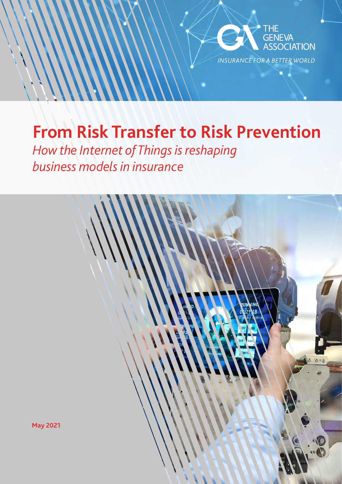

# **From Risk Transfer to Risk Prevention**

*How the Internet of Things is reshaping business models in insurance* 



**May 2021**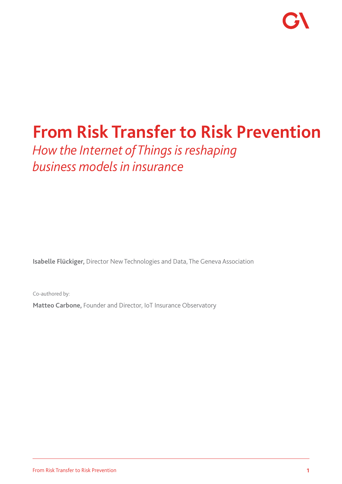# **From Risk Transfer to Risk Prevention**

*How the Internet of Things is reshaping business models in insurance* 

**Isabelle Flückiger,** Director New Technologies and Data, The Geneva Association

Co-authored by:

**Matteo Carbone,** Founder and Director, IoT Insurance Observatory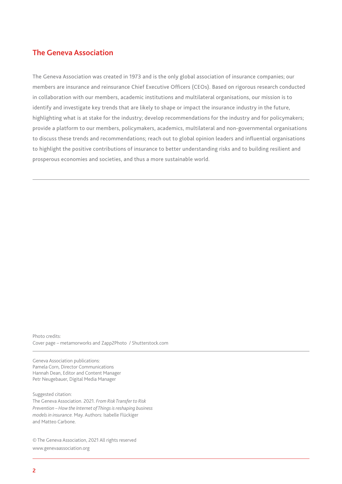### **The Geneva Association**

The Geneva Association was created in 1973 and is the only global association of insurance companies; our members are insurance and reinsurance Chief Executive Officers (CEOs). Based on rigorous research conducted in collaboration with our members, academic institutions and multilateral organisations, our mission is to identify and investigate key trends that are likely to shape or impact the insurance industry in the future, highlighting what is at stake for the industry; develop recommendations for the industry and for policymakers; provide a platform to our members, policymakers, academics, multilateral and non-governmental organisations to discuss these trends and recommendations; reach out to global opinion leaders and influential organisations to highlight the positive contributions of insurance to better understanding risks and to building resilient and prosperous economies and societies, and thus a more sustainable world.

Photo credits: Cover page – metamorworks and Zapp2Photo / Shutterstock.com

Geneva Association publications: Pamela Corn, Director Communications Hannah Dean, Editor and Content Manager Petr Neugebauer, Digital Media Manager

Suggested citation:

The Geneva Association. 2021. *From Risk Transfer to Risk Prevention – How the Internet of Things is reshaping business models in insurance.* May. Authors: Isabelle Flückiger and Matteo Carbone.

© The Geneva Association, 2021 All rights reserved www.genevaassociation.org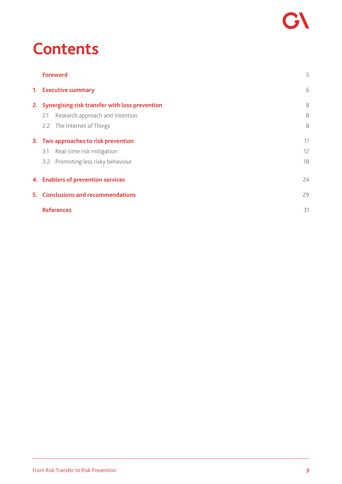# **Contents**

| <b>Foreword</b>                                   |                                      | 5  |
|---------------------------------------------------|--------------------------------------|----|
|                                                   | 1. Executive summary                 | 6  |
| 2. Synergising risk transfer with loss prevention |                                      | 8  |
| 2.1                                               | Research approach and intention      | 8  |
|                                                   | 2.2 The Internet of Things           | 8  |
|                                                   | 3. Two approaches to risk prevention | 11 |
| 3.1                                               | Real-time risk mitigation            | 12 |
|                                                   | 3.2 Promoting less risky behaviour   | 18 |
|                                                   | 4. Enablers of prevention services   | 24 |
| 5. Conclusions and recommendations                |                                      | 29 |
|                                                   | <b>References</b>                    | 31 |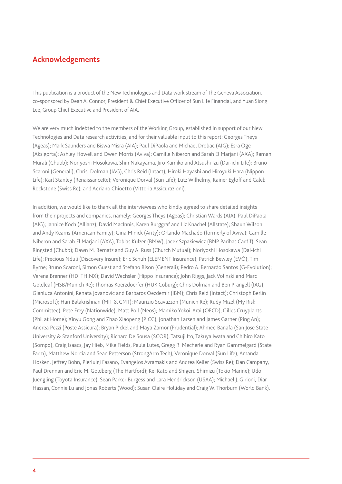# **Acknowledgements**

This publication is a product of the New Technologies and Data work stream of The Geneva Association, co-sponsored by Dean A. Connor, President & Chief Executive Officer of Sun Life Financial, and Yuan Siong Lee, Group Chief Executive and President of AIA.

We are very much indebted to the members of the Working Group, established in support of our New Technologies and Data research activities, and for their valuable input to this report: Georges Theys (Ageas); Mark Saunders and Biswa Misra (AIA); Paul DiPaola and Michael Drobac (AIG); Esra Öge (Aksigorta); Ashley Howell and Owen Morris (Aviva); Camille Niberon and Sarah El Marjani (AXA); Raman Murali (Chubb); Noriyoshi Hosokawa, Shin Nakayama, Jiro Kamiko and Atsushi Izu (Dai-ichi Life); Bruno Scaroni (Generali); Chris Dolman (IAG); Chris Reid (Intact); Hiroki Hayashi and Hiroyuki Hara (Nippon Life); Karl Stanley (RenaissanceRe); Véronique Dorval (Sun Life); Lutz Wilhelmy, Rainer Egloff and Caleb Rockstone (Swiss Re); and Adriano Chioetto (Vittoria Assicurazioni).

In addition, we would like to thank all the interviewees who kindly agreed to share detailed insights from their projects and companies, namely: Georges Theys (Ageas); Christian Wards (AIA); Paul DiPaola (AIG); Jannice Koch (Allianz); David MacInnis, Karen Burggraf and Liz Knachel (Allstate); Shaun Wilson and Andy Kearns (American Family); Gina Minick (Arity); Orlando Machado (formerly of Aviva); Camille Niberon and Sarah El Marjani (AXA); Tobias Kulzer (BMW); Jacek Szpakiewicz (BNP Paribas Cardif); Sean Ringsted (Chubb); Dawn M. Bernatz and Guy A. Russ (Church Mutual); Noriyoshi Hosokawa (Dai-ichi Life); Precious Nduli (Discovery Insure); Eric Schuh (ELEMENT Insurance); Patrick Bewley (EVŌ); Tim Byrne; Bruno Scaroni, Simon Guest and Stefano Bison (Generali); Pedro A. Bernardo Santos (G-Evolution); Verena Brenner (HDI TH!NX); David Wechsler (Hippo Insurance); John Riggs, Jack Volinski and Marc Goldleaf (HSB/Munich Re); Thomas Koerzdoerfer (HUK Coburg); Chris Dolman and Ben Prangell (IAG); Gianluca Antonini, Renata Jovanovic and Barbaros Oezdemir (IBM); Chris Reid (Intact); Christoph Berlin (Microsoft); Hari Balakrishnan (MIT & CMT); Maurizio Scavazzon (Munich Re); Rudy Mizel (My Risk Committee); Pete Frey (Nationwide); Matt Poll (Neos); Mamiko Yokoi-Arai (OECD); Gilles Cruyplants (Phil at Home); Xinyu Gong and Zhao Xiaopeng (PICC); Jonathan Larsen and James Garner (Ping An); Andrea Pezzi (Poste Assicura); Bryan Pickel and Maya Zamor (Prudential); Ahmed Banafa (San Jose State University & Stanford University); Richard De Sousa (SCOR); Tatsuji Ito, Takuya Iwata and Chihiro Kato (Sompo), Craig Isaacs, Jay Hieb, Mike Fields, Paula Lutes, Gregg R. Mecherle and Ryan Gammelgard (State Farm); Matthew Norcia and Sean Petterson (StrongArm Tech); Veronique Dorval (Sun Life); Amanda Hosken, Jeffrey Bohn, Pierluigi Fasano, Evangelos Avramakis and Andrea Keller (Swiss Re); Dan Campany, Paul Drennan and Eric M. Goldberg (The Hartford); Kei Kato and Shigeru Shimizu (Tokio Marine); Udo Juengling (Toyota Insurance); Sean Parker Burgess and Lara Hendrickson (USAA); Michael J. Girioni, Diar Hassan, Connie Lu and Jonas Roberts (Wood); Susan Claire Holliday and Craig W. Thorburn (World Bank).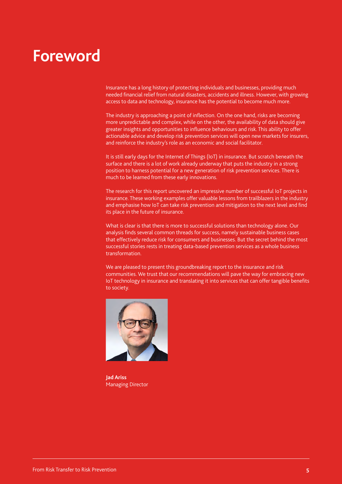# **Foreword**

Insurance has a long history of protecting individuals and businesses, providing much needed financial relief from natural disasters, accidents and illness. However, with growing access to data and technology, insurance has the potential to become much more.

The industry is approaching a point of inflection. On the one hand, risks are becoming more unpredictable and complex, while on the other, the availability of data should give greater insights and opportunities to influence behaviours and risk. This ability to offer actionable advice and develop risk prevention services will open new markets for insurers, and reinforce the industry's role as an economic and social facilitator.

It is still early days for the Internet of Things (IoT) in insurance. But scratch beneath the surface and there is a lot of work already underway that puts the industry in a strong position to harness potential for a new generation of risk prevention services. There is much to be learned from these early innovations.

The research for this report uncovered an impressive number of successful IoT projects in insurance. These working examples offer valuable lessons from trailblazers in the industry and emphasise how IoT can take risk prevention and mitigation to the next level and find its place in the future of insurance.

What is clear is that there is more to successful solutions than technology alone. Our analysis finds several common threads for success, namely sustainable business cases that effectively reduce risk for consumers and businesses. But the secret behind the most successful stories rests in treating data-based prevention services as a whole business transformation.

We are pleased to present this groundbreaking report to the insurance and risk communities. We trust that our recommendations will pave the way for embracing new IoT technology in insurance and translating it into services that can offer tangible benefits to society.



**Jad Ariss** Managing Director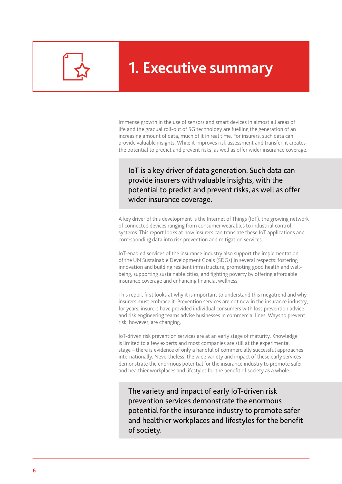# **1. Executive summary**

Immense growth in the use of sensors and smart devices in almost all areas of life and the gradual roll-out of 5G technology are fuelling the generation of an increasing amount of data, much of it in real time. For insurers, such data can provide valuable insights. While it improves risk assessment and transfer, it creates the potential to predict and prevent risks, as well as offer wider insurance coverage.

# IoT is a key driver of data generation. Such data can provide insurers with valuable insights, with the potential to predict and prevent risks, as well as offer wider insurance coverage.

A key driver of this development is the Internet of Things (IoT), the growing network of connected devices ranging from consumer wearables to industrial control systems. This report looks at how insurers can translate these IoT applications and corresponding data into risk prevention and mitigation services.

IoT-enabled services of the insurance industry also support the implementation of the UN Sustainable Development Goals (SDGs) in several respects: fostering innovation and building resilient infrastructure, promoting good health and wellbeing, supporting sustainable cities, and fighting poverty by offering affordable insurance coverage and enhancing financial wellness.

This report first looks at why it is important to understand this megatrend and why insurers must embrace it. Prevention services are not new in the insurance industry; for years, insurers have provided individual consumers with loss prevention advice and risk engineering teams advise businesses in commercial lines. Ways to prevent risk, however, are changing.

IoT-driven risk prevention services are at an early stage of maturity. Knowledge is limited to a few experts and most companies are still at the experimental stage – there is evidence of only a handful of commercially successful approaches internationally. Nevertheless, the wide variety and impact of these early services demonstrate the enormous potential for the insurance industry to promote safer and healthier workplaces and lifestyles for the benefit of society as a whole.

The variety and impact of early IoT-driven risk prevention services demonstrate the enormous potential for the insurance industry to promote safer and healthier workplaces and lifestyles for the benefit of society.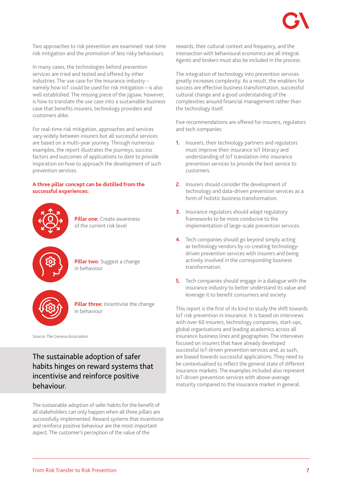Two approaches to risk prevention are examined: real-time risk mitigation and the promotion of less risky behaviours.

In many cases, the technologies behind prevention services are tried and tested and offered by other industries. The use case for the insurance industry – namely how IoT could be used for risk mitigation – is also well established. The missing piece of the jigsaw, however, is how to translate the use case into a sustainable business case that benefits insurers, technology providers and customers alike.

For real-time risk mitigation, approaches and services vary widely between insurers but all successful services are based on a multi-year journey. Through numerous examples, the report illustrates the journeys, success factors and outcomes of applications to date to provide inspiration on how to approach the development of such prevention services.

#### **A three pillar concept can be distilled from the successful experiences:**



**Pillar one:** Create awareness of the current risk level



**Pillar two:** Suggest a change in behaviour



**Pillar three:** Incentivise the change in behaviour

*Source: The Geneva Association*

# The sustainable adoption of safer habits hinges on reward systems that incentivise and reinforce positive behaviour.

The sustainable adoption of safer habits for the benefit of all stakeholders can only happen when all three pillars are successfully implemented. Reward systems that incentivise and reinforce positive behaviour are the most important aspect. The customer's perception of the value of the

rewards, their cultural context and frequency, and the intersection with behavioural economics are all integral. Agents and brokers must also be included in the process.

The integration of technology into prevention services greatly increases complexity. As a result, the enablers for success are effective business transformation, successful cultural change and a good understanding of the complexities around financial management rather than the technology itself.

Five recommendations are offered for insurers, regulators and tech companies:

- **1.** Insurers, their technology partners and regulators must improve their insurance IoT literacy and understanding of IoT translation into insurance prevention services to provide the best service to customers.
- **2.** Insurers should consider the development of technology and data-driven prevention services as a form of holistic business transformation.
- **3.** Insurance regulators should adapt regulatory frameworks to be more conducive to the implementation of large-scale prevention services.
- **4.** Tech companies should go beyond simply acting as technology vendors by co-creating technologydriven prevention services with insurers and being actively involved in the corresponding business transformation.
- **5.** Tech companies should engage in a dialogue with the insurance industry to better understand its value and leverage it to benefit consumers and society.

This report is the first of its kind to study the shift towards IoT risk prevention in insurance. It is based on interviews with over 60 insurers, technology companies, start-ups, global organisations and leading academics across all insurance business lines and geographies. The interviews focused on insurers that have already developed successful IoT-driven prevention services and, as such, are biased towards successful applications. They need to be contextualised to reflect the general state of different insurance markets. The examples included also represent IoT-driven prevention services with above-average maturity compared to the insurance market in general.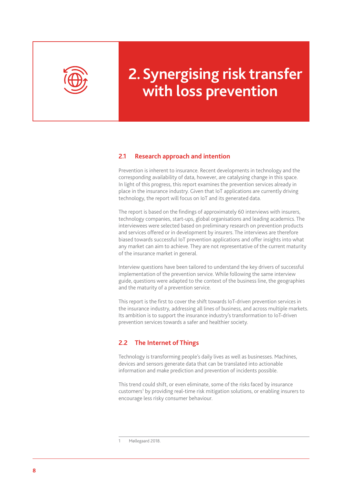

# **2.Synergising risk transfer with loss prevention**

#### **2.1 Research approach and intention**

Prevention is inherent to insurance. Recent developments in technology and the corresponding availability of data, however, are catalysing change in this space. In light of this progress, this report examines the prevention services already in place in the insurance industry. Given that IoT applications are currently driving technology, the report will focus on IoT and its generated data.

The report is based on the findings of approximately 60 interviews with insurers, technology companies, start-ups, global organisations and leading academics. The interviewees were selected based on preliminary research on prevention products and services offered or in development by insurers. The interviews are therefore biased towards successful IoT prevention applications and offer insights into what any market can aim to achieve. They are not representative of the current maturity of the insurance market in general.

Interview questions have been tailored to understand the key drivers of successful implementation of the prevention service. While following the same interview guide, questions were adapted to the context of the business line, the geographies and the maturity of a prevention service.

This report is the first to cover the shift towards IoT-driven prevention services in the insurance industry, addressing all lines of business, and across multiple markets. Its ambition is to support the insurance industry's transformation to IoT-driven prevention services towards a safer and healthier society.

### **2.2 The Internet of Things**

Technology is transforming people's daily lives as well as businesses. Machines, devices and sensors generate data that can be translated into actionable information and make prediction and prevention of incidents possible.

This trend could shift, or even eliminate, some of the risks faced by insurance customers<sup>1</sup> by providing real-time risk mitigation solutions, or enabling insurers to encourage less risky consumer behaviour.

Møllegaard 2018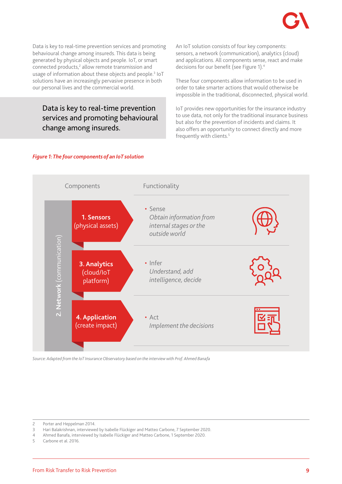

Data is key to real-time prevention services and promoting behavioural change among insureds. This data is being generated by physical objects and people. IoT, or smart connected products,<sup>2</sup> allow remote transmission and usage of information about these objects and people.<sup>3</sup> IoT solutions have an increasingly pervasive presence in both our personal lives and the commercial world.

# Data is key to real-time prevention services and promoting behavioural change among insureds.

An IoT solution consists of four key components: sensors, a network (communication), analytics (cloud) and applications. All components sense, react and make decisions for our benefit (see Figure 1).4

These four components allow information to be used in order to take smarter actions that would otherwise be impossible in the traditional, disconnected, physical world.

IoT provides new opportunities for the insurance industry to use data, not only for the traditional insurance business but also for the prevention of incidents and claims. It also offers an opportunity to connect directly and more frequently with clients.<sup>5</sup>





*Source: Adapted from the IoT Insurance Observatory based on the interview with Prof. Ahmed Banafa*

2 Porter and Heppelman 2014.

5 Carbone et al. 2016.

<sup>3</sup> Hari Balakrishnan, interviewed by Isabelle Flückiger and Matteo Carbone, 7 September 2020.

<sup>4</sup> Ahmed Banafa, interviewed by Isabelle Flückiger and Matteo Carbone, 1 September 2020.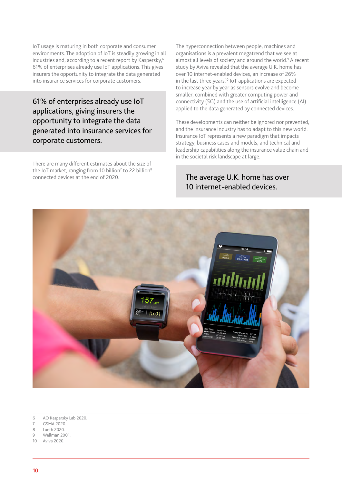IoT usage is maturing in both corporate and consumer environments. The adoption of IoT is steadily growing in all industries and, according to a recent report by Kaspersky,<sup>6</sup> 61% of enterprises already use IoT applications. This gives insurers the opportunity to integrate the data generated into insurance services for corporate customers.

61% of enterprises already use IoT applications, giving insurers the opportunity to integrate the data generated into insurance services for corporate customers.

There are many different estimates about the size of the IoT market, ranging from 10 billion<sup>7</sup> to 22 billion $^{\rm 8}$ connected devices at the end of 2020.

The hyperconnection between people, machines and organisations is a prevalent megatrend that we see at almost all levels of society and around the world.<sup>9</sup> A recent study by Aviva revealed that the average U.K. home has over 10 internet-enabled devices, an increase of 26% in the last three years.<sup>10</sup> IoT applications are expected to increase year by year as sensors evolve and become smaller, combined with greater computing power and connectivity (5G) and the use of artificial intelligence (AI) applied to the data generated by connected devices.

These developments can neither be ignored nor prevented, and the insurance industry has to adapt to this new world. Insurance IoT represents a new paradigm that impacts strategy, business cases and models, and technical and leadership capabilities along the insurance value chain and in the societal risk landscape at large.

The average U.K. home has over 10 internet-enabled devices.



- 6 AO Kaspersky Lab 2020.
- 7 GSMA 2020.
- 8 Lueth 2020.
- 9 Wellman 2001.
- 10 Aviva 2020.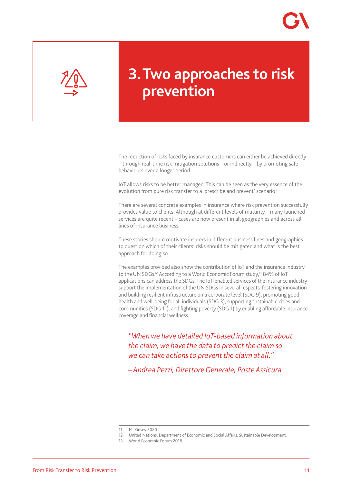

# **3.Two approaches to risk prevention**

The reduction of risks faced by insurance customers can either be achieved directly – through real-time risk mitigation solutions – or indirectly – by promoting safe behaviours over a longer period.

IoT allows risks to be better managed. This can be seen as the very essence of the evolution from pure risk transfer to a 'prescribe and prevent' scenario.<sup>11</sup>

There are several concrete examples in insurance where risk prevention successfully provides value to clients. Although at different levels of maturity – many launched services are quite recent – cases are now present in all geographies and across all lines of insurance business.

These stories should motivate insurers in different business lines and geographies to question which of their clients' risks should be mitigated and what is the best approach for doing so.

The examples provided also show the contribution of IoT and the insurance industry to the UN SDGs.<sup>12</sup> According to a World Economic Forum study.<sup>13</sup> 84% of IoT applications can address the SDGs. The IoT-enabled services of the insurance industry support the implementation of the UN SDGs in several respects: fostering innovation and building resilient infrastructure on a corporate level (SDG 9), promoting good health and well-being for all individuals (SDG 3), supporting sustainable cities and communities (SDG 11), and fighting poverty (SDG 1) by enabling affordable insurance coverage and financial wellness.

*"When we have detailed IoT-based information about the claim, we have the data to predict the claim so we can take actions to prevent the claim at all."*

*– Andrea Pezzi, Direttore Generale, Poste Assicura*

<sup>11</sup> McKinsey 2020.

<sup>12</sup> United Nations. Department of Economic and Social Affairs. Sustainable Development.

<sup>13</sup> World Economic Forum 2018.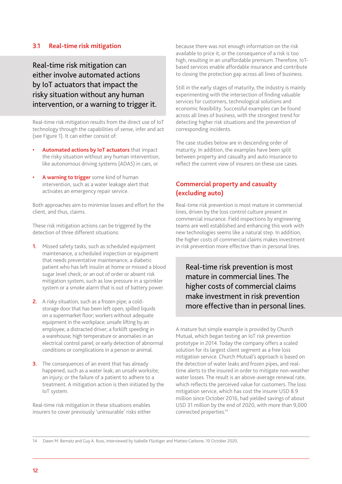### **3.1 Real-time risk mitigation**

Real-time risk mitigation can either involve automated actions by IoT actuators that impact the risky situation without any human intervention, or a warning to trigger it.

Real-time risk mitigation results from the direct use of IoT technology through the capabilities of sense, infer and act (see Figure 1). It can either consist of:

- **• Automated actions by IoT actuators** that impact the risky situation without any human intervention, like autonomous driving systems (ADAS) in cars, or
- **• A warning to trigger** some kind of human intervention, such as a water leakage alert that activates an emergency repair service.

Both approaches aim to minimise losses and effort for the client, and thus, claims.

These risk mitigation actions can be triggered by the detection of three different situations:

- **1.** Missed safety tasks, such as scheduled equipment maintenance, a scheduled inspection or equipment that needs preventative maintenance; a diabetic patient who has left insulin at home or missed a blood sugar level check; or an out of order or absent risk mitigation system, such as low pressure in a sprinkler system or a smoke alarm that is out of battery power.
- **2.** A risky situation, such as a frozen pipe; a coldstorage door that has been left open; spilled liquids on a supermarket floor; workers without adequate equipment in the workplace; unsafe lifting by an employee; a distracted driver; a forklift speeding in a warehouse; high temperature or anomalies in an electrical control panel; or early detection of abnormal conditions or complications in a person or animal.
- **3.** The consequences of an event that has already happened, such as a water leak; an unsafe worksite; an injury; or the failure of a patient to adhere to a treatment. A mitigation action is then initiated by the IoT system.

Real-time risk mitigation in these situations enables insurers to cover previously 'uninsurable' risks either because there was not enough information on the risk available to price it, or the consequence of a risk is too high, resulting in an unaffordable premium. Therefore, IoTbased services enable affordable insurance and contribute to closing the protection gap across all lines of business.

Still in the early stages of maturity, the industry is mainly experimenting with the intersection of finding valuable services for customers, technological solutions and economic feasibility. Successful examples can be found across all lines of business, with the strongest trend for detecting higher risk situations and the prevention of corresponding incidents.

The case studies below are in descending order of maturity. In addition, the examples have been split between property and casualty and auto insurance to reflect the current view of insurers on these use cases.

# **Commercial property and casualty (excluding auto)**

Real-time risk prevention is most mature in commercial lines, driven by the loss control culture present in commercial insurance. Field inspections by engineering teams are well established and enhancing this work with new technologies seems like a natural step. In addition, the higher costs of commercial claims makes investment in risk prevention more effective than in personal lines.

Real-time risk prevention is most mature in commercial lines. The higher costs of commercial claims make investment in risk prevention more effective than in personal lines.

A mature but simple example is provided by Church Mutual, which began testing an IoT risk prevention prototype in 2014. Today the company offers a scaled solution for its largest client segment as a free loss mitigation service. Church Mutual's approach is based on the detection of water leaks and frozen pipes, and realtime alerts to the insured in order to mitigate non-weather water losses. The result is an above-average renewal rate, which reflects the perceived value for customers. The loss mitigation service, which has cost the insurer USD 8.9 million since October 2016, had yielded savings of about USD 31 million by the end of 2020, with more than 9,000 connected properties.14

14 Dawn M. Bernatz and Guy A. Russ, interviewed by Isabelle Flückiger and Matteo Carbone, 10 October 2020.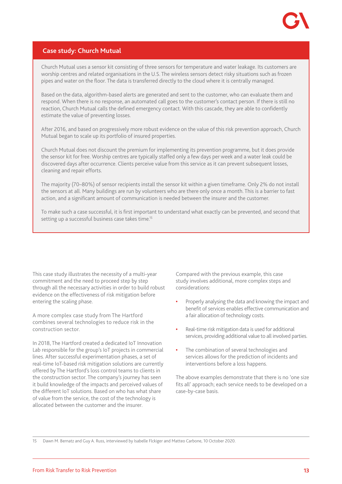

#### **Case study: Church Mutual**

Church Mutual uses a sensor kit consisting of three sensors for temperature and water leakage. Its customers are worship centres and related organisations in the U.S. The wireless sensors detect risky situations such as frozen pipes and water on the floor. The data is transferred directly to the cloud where it is centrally managed.

Based on the data, algorithm-based alerts are generated and sent to the customer, who can evaluate them and respond. When there is no response, an automated call goes to the customer's contact person. If there is still no reaction, Church Mutual calls the defined emergency contact. With this cascade, they are able to confidently estimate the value of preventing losses.

After 2016, and based on progressively more robust evidence on the value of this risk prevention approach, Church Mutual began to scale up its portfolio of insured properties.

Church Mutual does not discount the premium for implementing its prevention programme, but it does provide the sensor kit for free. Worship centres are typically staffed only a few days per week and a water leak could be discovered days after occurrence. Clients perceive value from this service as it can prevent subsequent losses, cleaning and repair efforts.

The majority (70–80%) of sensor recipients install the sensor kit within a given timeframe. Only 2% do not install the sensors at all. Many buildings are run by volunteers who are there only once a month. This is a barrier to fast action, and a significant amount of communication is needed between the insurer and the customer.

To make such a case successful, it is first important to understand what exactly can be prevented, and second that setting up a successful business case takes time.<sup>15</sup>

This case study illustrates the necessity of a multi-year commitment and the need to proceed step by step through all the necessary activities in order to build robust evidence on the effectiveness of risk mitigation before entering the scaling phase.

A more complex case study from The Hartford combines several technologies to reduce risk in the construction sector.

In 2018, The Hartford created a dedicated IoT Innovation Lab responsible for the group's IoT projects in commercial lines. After successful experimentation phases, a set of real-time IoT-based risk mitigation solutions are currently offered by The Hartford's loss control teams to clients in the construction sector. The company's journey has seen it build knowledge of the impacts and perceived values of the different IoT solutions. Based on who has what share of value from the service, the cost of the technology is allocated between the customer and the insurer.

Compared with the previous example, this case study involves additional, more complex steps and considerations:

- **•** Properly analysing the data and knowing the impact and benefit of services enables effective communication and a fair allocation of technology costs.
- **•** Real-time risk mitigation data is used for additional services, providing additional value to all involved parties.
- **•** The combination of several technologies and services allows for the prediction of incidents and interventions before a loss happens.

The above examples demonstrate that there is no 'one size fits all' approach; each service needs to be developed on a case-by-case basis.

15 Dawn M. Bernatz and Guy A. Russ, interviewed by Isabelle Flckiger and Matteo Carbone, 10 October 2020.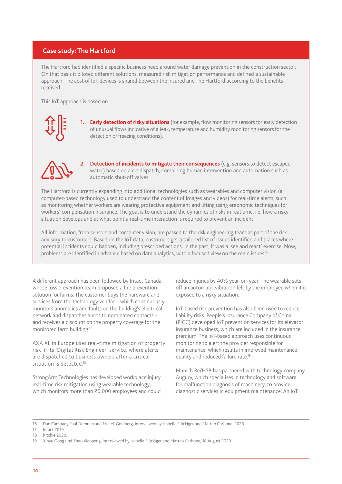#### **Case study: The Hartford**

The Hartford had identified a specific business need around water damage prevention in the construction sector. On that basis it piloted different solutions, measured risk mitigation performance and defined a sustainable approach. The cost of IoT devices is shared between the insured and The Hartford according to the benefits received.

This IoT approach is based on:



**1. Early detection of risky situations** (for example, flow monitoring sensors for early detection of unusual flows indicative of a leak, temperature and humidity monitoring sensors for the detection of freezing conditions).



**2. Detection of incidents to mitigate their consequences** (e.g. sensors to detect escaped water) based on alert dispatch, combining human intervention and automation such as automatic shut-off valves.

The Hartford is currently expanding into additional technologies such as wearables and computer vision (a computer-based technology used to understand the content of images and videos) for real-time alerts, such as monitoring whether workers are wearing protective equipment and lifting using ergonomic techniques for workers' compensation insurance. The goal is to understand the dynamics of risks in real time, i.e. how a risky situation develops and at what point a real-time interaction is required to prevent an incident.

All information, from sensors and computer vision, are passed to the risk engineering team as part of the risk advisory to customers. Based on the IoT data, customers get a tailored list of issues identified and places where potential incidents could happen, including prescribed actions. In the past, it was a 'see and react' exercise. Now, problems are identified in advance based on data analytics, with a focused view on the main issues.<sup>16</sup>

A different approach has been followed by Intact Canada, whose loss prevention team proposed a fire prevention solution for farms. The customer buys the hardware and services from the technology vendor – which continuously monitors anomalies and faults on the building's electrical network and dispatches alerts to nominated contacts – and receives a discount on the property coverage for the monitored farm building.17

AXA XL in Europe uses real-time mitigation of property risk in its 'Digital Risk Engineer' service, where alerts are dispatched to business owners after a critical situation is detected.<sup>18</sup>

StrongArm Technologies has developed workplace injury real-time risk mitigation using wearable technology, which monitors more than 20,000 employees and could reduce injuries by 40% year-on-year. The wearable sets off an automatic vibration felt by the employee when it is exposed to a risky situation.

IoT-based risk prevention has also been used to reduce liability risks. People's Insurance Company of China (PICC) developed IoT prevention services for its elevator insurance business, which are included in the insurance premium. The IoT-based approach uses continuous monitoring to alert the provider responsible for maintenance, which results in improved maintenance quality and reduced failure rate.<sup>19</sup>

Munich Re/HSB has partnered with technology company Augury, which specialises in technology and software for malfunction diagnosis of machinery, to provide diagnostic services in equipment maintenance. An IoT

<sup>16</sup> Dan Campany,Paul Drennan and Eric M. Goldberg, interviewed by Isabelle Flückiger and Matteo Carbone, 2020.

<sup>17</sup> Intact 2019.

<sup>18</sup> Ritchie 2020.

<sup>19</sup> Xinyu Gong und Zhao Xiaopeng, interviewed by Isabelle Flückiger and Matteo Carbone, 18 August 2020.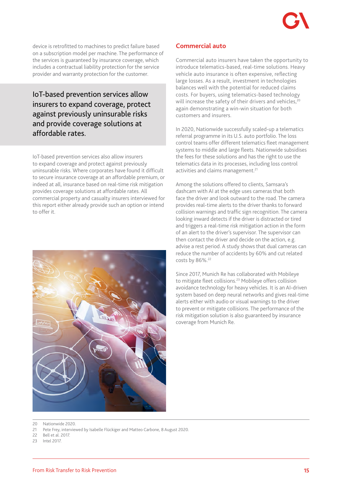device is retrofitted to machines to predict failure based on a subscription model per machine. The performance of the services is guaranteed by insurance coverage, which includes a contractual liability protection for the service provider and warranty protection for the customer.

IoT-based prevention services allow insurers to expand coverage, protect against previously uninsurable risks and provide coverage solutions at affordable rates.

IoT-based prevention services also allow insurers to expand coverage and protect against previously uninsurable risks. Where corporates have found it difficult to secure insurance coverage at an affordable premium, or indeed at all, insurance based on real-time risk mitigation provides coverage solutions at affordable rates. All commercial property and casualty insurers interviewed for this report either already provide such an option or intend to offer it.



#### **Commercial auto**

Commercial auto insurers have taken the opportunity to introduce telematics-based, real-time solutions. Heavy vehicle auto insurance is often expensive, reflecting large losses. As a result, investment in technologies balances well with the potential for reduced claims costs. For buyers, using telematics-based technology will increase the safety of their drivers and vehicles,<sup>20</sup> again demonstrating a win-win situation for both customers and insurers.

In 2020, Nationwide successfully scaled-up a telematics referral programme in its U.S. auto portfolio. The loss control teams offer different telematics fleet management systems to middle and large fleets. Nationwide subsidises the fees for these solutions and has the right to use the telematics data in its processes, including loss control activities and claims management.<sup>21</sup>

Among the solutions offered to clients, Samsara's dashcam with AI at the edge uses cameras that both face the driver and look outward to the road. The camera provides real-time alerts to the driver thanks to forward collision warnings and traffic sign recognition. The camera looking inward detects if the driver is distracted or tired and triggers a real-time risk mitigation action in the form of an alert to the driver's supervisor. The supervisor can then contact the driver and decide on the action, e.g. advise a rest period. A study shows that dual cameras can reduce the number of accidents by 60% and cut related costs by 86%.<sup>22</sup>

Since 2017, Munich Re has collaborated with Mobileye to mitigate fleet collisions.<sup>23</sup> Mobileye offers collision avoidance technology for heavy vehicles. It is an AI-driven system based on deep neural networks and gives real-time alerts either with audio or visual warnings to the driver to prevent or mitigate collisions. The performance of the risk mitigation solution is also guaranteed by insurance coverage from Munich Re.

22 Bell et al. 2017.

<sup>20</sup> Nationwide 2020.

<sup>21</sup> Pete Frey, interviewed by Isabelle Flückiger and Matteo Carbone, 8 August 2020.

<sup>23</sup> Intel 2017.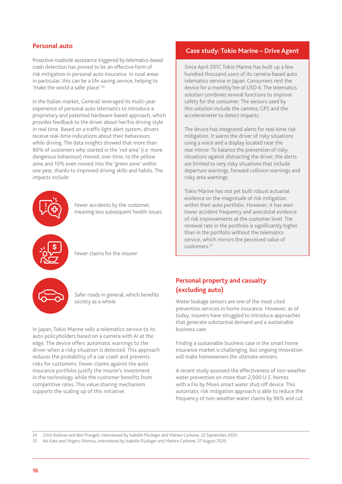#### **Personal auto**

Proactive roadside assistance triggered by telematics-based crash detection has proved to be an effective form of risk mitigation in personal auto insurance. In rural areas in particular, this can be a life-saving service, helping to 'make the world a safer place'.<sup>24</sup>

In the Italian market, Generali leveraged its multi-year experience of personal auto telematics to introduce a proprietary and patented hardware-based approach, which provides feedback to the driver about her/his driving style in real time. Based on a traffic light alert system, drivers receive real-time indications about their behaviours while driving. The data insights showed that more than 80% of customers who started in the 'red area' (i.e. more dangerous behaviour) moved, over time, to the yellow zone and 10% even moved into the 'green zone' within one year, thanks to improved driving skills and habits. The impacts include:



Fewer accidents by the customer, meaning less subsequent health issues



Fewer claims for the insurer



Safer roads in general, which benefits society as a whole

In Japan, Tokio Marine sells a telematics service to its auto policyholders based on a camera with AI at the edge. The device offers automatic warnings to the driver when a risky situation is detected. This approach reduces the probability of a car crash and prevents risks for customers. Fewer claims against the auto insurance portfolio justify the insurer's investment in the technology while the customer benefits from competitive rates. This value sharing mechanism supports the scaling up of this initiative.

#### **Case study: Tokio Marine – Drive Agent**

Since April 2017, Tokio Marine has built up a few hundred thousand users of its camera-based auto telematics service in Japan. Consumers rent the device for a monthly fee of USD 6. The telematics solution combines several functions to improve safety for the consumer. The sensors used by this solution include the camera, GPS and the accelerometer to detect impacts.

The device has integrated alerts for real-time risk mitigation. It warns the driver of risky situations using a voice and a display located near the rear mirror. To balance the prevention of risky situations against distracting the driver, the alerts are limited to very risky situations that include departure warnings, forward collision warnings and risky area warnings.

Tokio Marine has not yet built robust actuarial evidence on the magnitude of risk mitigation within their auto portfolio. However, it has seen lower accident frequency and anecdotal evidence of risk improvements at the customer level. The renewal rate in the portfolio is significantly higher than in the portfolio without the telematics service, which mirrors the perceived value of customers.25

# **Personal property and casualty (excluding auto)**

Water leakage sensors are one of the most cited prevention services in home insurance. However, as of today, insurers have struggled to introduce approaches that generate substantial demand and a sustainable business case.

Finding a sustainable business case in the smart home insurance market is challenging, but ongoing innovation will make homeowners the ultimate winners.

A recent study assessed the effectiveness of non-weather water prevention on more than 2,000 U.S. homes with a Flo by Moen smart water shut-off device. This automatic risk mitigation approach is able to reduce the frequency of non-weather water claims by 96% and cut

24 Chris Dolman and Ben Prangell, interviewed by Isabelle Flückiger and Matteo Carbone, 22 September 2020.

25 Kei Kato and Shigeru Shimizu, interviewed by Isabelle Flückiger and Matteo Carbone, 27 August 2020.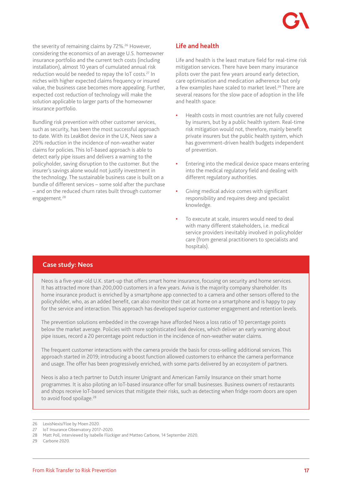the severity of remaining claims by 72%.<sup>26</sup> However, considering the economics of an average U.S. homeowner insurance portfolio and the current tech costs (including installation), almost 10 years of cumulated annual risk reduction would be needed to repay the IoT costs.27 In niches with higher expected claims frequency or insured value, the business case becomes more appealing. Further, expected cost reduction of technology will make the solution applicable to larger parts of the homeowner insurance portfolio.

Bundling risk prevention with other customer services, such as security, has been the most successful approach to date. With its LeakBot device in the U.K, Neos saw a 20% reduction in the incidence of non-weather water claims for policies. This IoT-based approach is able to detect early pipe issues and delivers a warning to the policyholder, saving disruption to the customer. But the insurer's savings alone would not justify investment in the technology. The sustainable business case is built on a bundle of different services – some sold after the purchase – and on the reduced churn rates built through customer engagement.<sup>28</sup>

### **Life and health**

Life and health is the least mature field for real-time risk mitigation services. There have been many insurance pilots over the past few years around early detection, care optimisation and medication adherence but only a few examples have scaled to market level.<sup>29</sup> There are several reasons for the slow pace of adoption in the life and health space:

- **•** Health costs in most countries are not fully covered by insurers, but by a public health system. Real-time risk mitigation would not, therefore, mainly benefit private insurers but the public health system, which has government-driven health budgets independent of prevention.
- **•** Entering into the medical device space means entering into the medical regulatory field and dealing with different regulatory authorities.
- **•** Giving medical advice comes with significant responsibility and requires deep and specialist knowledge.
- **•** To execute at scale, insurers would need to deal with many different stakeholders, i.e. medical service providers inevitably involved in policyholder care (from general practitioners to specialists and hospitals).

#### **Case study: Neos**

Neos is a five-year-old U.K. start-up that offers smart home insurance, focusing on security and home services. It has attracted more than 200,000 customers in a few years. Aviva is the majority company shareholder. Its home insurance product is enriched by a smartphone app connected to a camera and other sensors offered to the policyholder, who, as an added benefit, can also monitor their cat at home on a smartphone and is happy to pay for the service and interaction. This approach has developed superior customer engagement and retention levels.

The prevention solutions embedded in the coverage have afforded Neos a loss ratio of 10 percentage points below the market average. Policies with more sophisticated leak devices, which deliver an early warning about pipe issues, record a 20 percentage point reduction in the incidence of non-weather water claims.

The frequent customer interactions with the camera provide the basis for cross-selling additional services. This approach started in 2019; introducing a boost function allowed customers to enhance the camera performance and usage. The offer has been progressively enriched, with some parts delivered by an ecosystem of partners.

Neos is also a tech partner to Dutch insurer Unigrant and American Family Insurance on their smart home programmes. It is also piloting an IoT-based insurance offer for small businesses. Business owners of restaurants and shops receive IoT-based services that mitigate their risks, such as detecting when fridge room doors are open to avoid food spoilage.<sup>28</sup>

<sup>26</sup> LexisNexis/Floe by Moen 2020.

<sup>27</sup> IoT Insurance Observatory 2017–2020.

<sup>28</sup> Matt Poll, interviewed by Isabelle Flückiger and Matteo Carbone, 14 September 2020.

<sup>29</sup> Carbone 2020.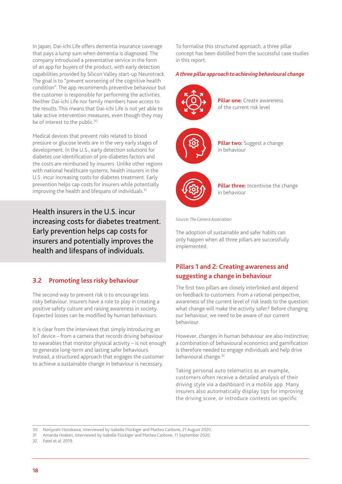In Japan, Dai-ichi Life offers dementia insurance coverage that pays a lump sum when dementia is diagnosed. The company introduced a preventative service in the form of an app for buyers of the product, with early detection capabilities provided by Silicon Valley start-up Neurotrack. The goal is to "prevent worsening of the cognitive health condition". The app recommends preventive behaviour but the customer is responsible for performing the activities. Neither Dai-ichi Life nor family members have access to the results. This means that Dai-ichi Life is not yet able to take active intervention measures, even though they may be of interest to the public.<sup>30</sup>

Medical devices that prevent risks related to blood pressure or glucose levels are in the very early stages of development. In the U.S., early detection solutions for diabetes use identification of pre-diabetes factors and the costs are reimbursed by insurers. Unlike other regions with national healthcare systems, health insurers in the U.S. incur increasing costs for diabetes treatment. Early prevention helps cap costs for insurers while potentially improving the health and lifespans of individuals.<sup>31</sup>

Health insurers in the U.S. incur increasing costs for diabetes treatment. Early prevention helps cap costs for insurers and potentially improves the health and lifespans of individuals.

# **3.2 Promoting less risky behaviour**

The second way to prevent risk is to encourage less risky behaviour. Insurers have a role to play in creating a positive safety culture and raising awareness in society. Expected losses can be modified by human behaviours.

It is clear from the interviews that simply introducing an IoT device – from a camera that records driving behaviour to wearables that monitor physical activity – is not enough to generate long-term and lasting safer behaviours. Instead, a structured approach that engages the customer to achieve a sustainable change in behaviour is necessary.

To formalise this structured approach, a three pillar concept has been distilled from the successful case studies in this report.

#### *A three pillar approach to achieving behavioural change*



**Pillar three:** Incentivise the change in behaviour

*Source: The Geneva Association*

The adoption of sustainable and safer habits can only happen when all three pillars are successfully implemented.

# **Pillars 1 and 2: Creating awareness and suggesting a change in behaviour**

The first two pillars are closely interlinked and depend on feedback to customers. From a rational perspective, awareness of the current level of risk leads to the question: what change will make the activity safer? Before changing our behaviour, we need to be aware of our current behaviour.

However, changes in human behaviour are also instinctive; a combination of behavioural economics and gamification is therefore needed to engage individuals and help drive behavioural change.32

Taking personal auto telematics as an example, customers often receive a detailed analysis of their driving style via a dashboard in a mobile app. Many insurers also automatically display tips for improving the driving score, or introduce contests on specific

30 Noriyoshi Hosokawa, interviewed by Isabelle Flückiger and Matteo Carbone, 21 August 2020.

32 Patel et al. 2019.

<sup>31</sup> Amanda Hosken, interviewed by Isabelle Flückiger and Matteo Carbone, 11 September 2020.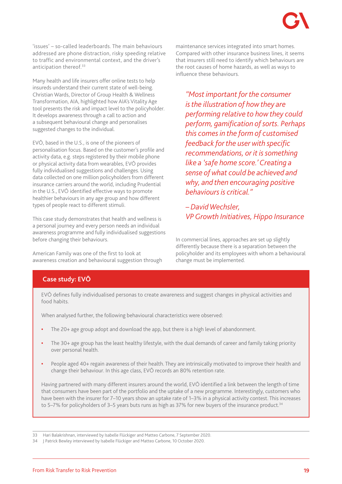'issues' – so-called leaderboards. The main behaviours addressed are phone distraction, risky speeding relative to traffic and environmental context, and the driver's anticipation thereof.<sup>33</sup>

Many health and life insurers offer online tests to help insureds understand their current state of well-being. Christian Wards, Director of Group Health & Wellness Transformation, AIA, highlighted how AIA's Vitality Age tool presents the risk and impact level to the policyholder. It develops awareness through a call to action and a subsequent behavioural change and personalises suggested changes to the individual.

EVŌ, based in the U.S., is one of the pioneers of personalisation focus. Based on the customer's profile and activity data, e.g. steps registered by their mobile phone or physical activity data from wearables, EVŌ provides fully individualised suggestions and challenges. Using data collected on one million policyholders from different insurance carriers around the world, including Prudential in the U.S., EVŌ identified effective ways to promote healthier behaviours in any age group and how different types of people react to different stimuli.

This case study demonstrates that health and wellness is a personal journey and every person needs an individual awareness programme and fully individualised suggestions before changing their behaviours.

American Family was one of the first to look at awareness creation and behavioural suggestion through maintenance services integrated into smart homes. Compared with other insurance business lines, it seems that insurers still need to identify which behaviours are the root causes of home hazards, as well as ways to influence these behaviours.

*"Most important for the consumer is the illustration of how they are performing relative to how they could perform, gamification of sorts. Perhaps this comes in the form of customised feedback for the user with specific recommendations, or it is something like a 'safe home score.' Creating a sense of what could be achieved and why, and then encouraging positive behaviours is critical."*

*– David Wechsler, VP Growth Initiatives, Hippo Insurance*

In commercial lines, approaches are set up slightly differently because there is a separation between the policyholder and its employees with whom a behavioural change must be implemented.

# **Case study: EVŌ**

EVŌ defines fully individualised personas to create awareness and suggest changes in physical activities and food habits.

When analysed further, the following behavioural characteristics were observed:

- **•** The 20+ age group adopt and download the app, but there is a high level of abandonment.
- **•** The 30+ age group has the least healthy lifestyle, with the dual demands of career and family taking priority over personal health.
- **•** People aged 40+ regain awareness of their health. They are intrinsically motivated to improve their health and change their behaviour. In this age class, EVŌ records an 80% retention rate.

Having partnered with many different insurers around the world, EVŌ identified a link between the length of time that consumers have been part of the portfolio and the uptake of a new programme. Interestingly, customers who have been with the insurer for 7–10 years show an uptake rate of 1–3% in a physical activity contest. This increases to 5–7% for policyholders of 3–5 years buts runs as high as 37% for new buyers of the insurance product.<sup>34</sup>

<sup>33</sup> Hari Balakrishnan, interviewed by Isabelle Flückiger and Matteo Carbone, 7 September 2020.

<sup>34</sup> J Patrick Bewley interviewed by Isabelle Flückiger and Matteo Carbone, 10 October 2020.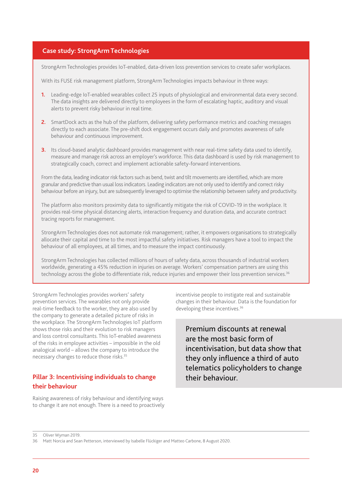### **Case study: StrongArm Technologies**

StrongArm Technologies provides IoT-enabled, data-driven loss prevention services to create safer workplaces.

With its FUSE risk management platform, StrongArm Technologies impacts behaviour in three ways:

- **1.** Leading-edge IoT-enabled wearables collect 25 inputs of physiological and environmental data every second. The data insights are delivered directly to employees in the form of escalating haptic, auditory and visual alerts to prevent risky behaviour in real time.
- **2.** SmartDock acts as the hub of the platform, delivering safety performance metrics and coaching messages directly to each associate. The pre-shift dock engagement occurs daily and promotes awareness of safe behaviour and continuous improvement.
- **3.** Its cloud-based analytic dashboard provides management with near real-time safety data used to identify, measure and manage risk across an employer's workforce. This data dashboard is used by risk management to strategically coach, correct and implement actionable safety-forward interventions.

From the data, leading indicator risk factors such as bend, twist and tilt movements are identified, which are more granular and predictive than usual loss indicators. Leading indicators are not only used to identify and correct risky behaviour before an injury, but are subsequently leveraged to optimise the relationship between safety and productivity.

The platform also monitors proximity data to significantly mitigate the risk of COVID-19 in the workplace. It provides real-time physical distancing alerts, interaction frequency and duration data, and accurate contract tracing reports for management.

StrongArm Technologies does not automate risk management; rather, it empowers organisations to strategically allocate their capital and time to the most impactful safety initiatives. Risk managers have a tool to impact the behaviour of all employees, at all times, and to measure the impact continuously.

StrongArm Technologies has collected millions of hours of safety data, across thousands of industrial workers worldwide, generating a 45% reduction in injuries on average. Workers' compensation partners are using this technology across the globe to differentiate risk, reduce injuries and empower their loss prevention services.<sup>36</sup>

StrongArm Technologies provides workers' safety prevention services. The wearables not only provide real-time feedback to the worker, they are also used by the company to generate a detailed picture of risks in the workplace. The StrongArm Technologies IoT platform shows those risks and their evolution to risk managers and loss control consultants. This IoT-enabled awareness of the risks in employee activities – impossible in the old analogical world – allows the company to introduce the necessary changes to reduce those risks.35

# **Pillar 3: Incentivising individuals to change their behaviour**

Raising awareness of risky behaviour and identifying ways to change it are not enough. There is a need to proactively incentivise people to instigate real and sustainable changes in their behaviour. Data is the foundation for developing these incentives.<sup>36</sup>

Premium discounts at renewal are the most basic form of incentivisation, but data show that they only influence a third of auto telematics policyholders to change their behaviour.

<sup>35</sup> Oliver Wyman 2019.

<sup>36</sup> Matt Norcia and Sean Petterson, interviewed by Isabelle Flückiger and Matteo Carbone, 8 August 2020.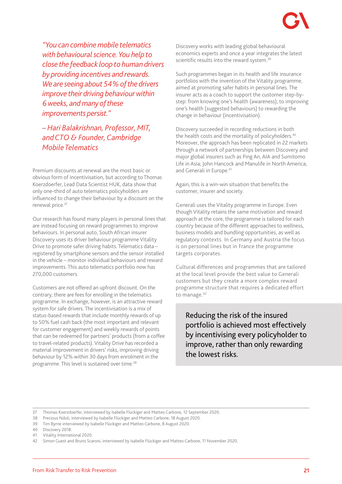*"You can combine mobile telematics with behavioural science. You help to close the feedback loop to human drivers by providing incentives and rewards. We are seeing about 54% of the drivers improve their driving behaviour within 6 weeks, and many of these improvements persist."*

# *– Hari Balakrishnan, Professor, MIT, and CTO & Founder, Cambridge Mobile Telematics*

Premium discounts at renewal are the most basic or obvious form of incentivisation, but according to Thomas Koerzdoerfer, Lead Data Scientist HUK, data show that only one-third of auto telematics policyholders are influenced to change their behaviour by a discount on the renewal price.<sup>37</sup>

Our research has found many players in personal lines that are instead focusing on reward programmes to improve behaviours. In personal auto, South African insurer Discovery uses its driver behaviour programme Vitality Drive to promote safer driving habits. Telematics data – registered by smartphone sensors and the sensor installed in the vehicle – monitor individual behaviours and reward improvements. This auto telematics portfolio now has 270,000 customers.

Customers are not offered an upfront discount. On the contrary, there are fees for enrolling in the telematics programme. In exchange, however, is an attractive reward system for safe drivers. The incentivisation is a mix of status-based rewards that include monthly rewards of up to 50% fuel cash back (the most important and relevant for customer engagement) and weekly rewards of points that can be redeemed for partners' products (from a coffee to travel-related products). Vitality Drive has recorded a material improvement in drivers' risks, improving driving behaviour by 12% within 30 days from enrolment in the programme. This level is sustained over time.38

Discovery works with leading global behavioural economics experts and once a year integrates the latest scientific results into the reward system.<sup>39</sup>

Such programmes began in its health and life insurance portfolios with the invention of the Vitality programme, aimed at promoting safer habits in personal lines. The insurer acts as a coach to support the customer step-bystep: from knowing one's health (awareness), to improving one's health (suggested behaviours) to rewarding the change in behaviour (incentivisation).

Discovery succeeded in recording reductions in both the health costs and the mortality of policyholders.<sup>40</sup> Moreover, the approach has been replicated in 22 markets through a network of partnerships between Discovery and major global insurers such as Ping An, AIA and Sumitomo Life in Asia; John Hancock and Manulife in North America; and Generali in Europe.<sup>41</sup>

Again, this is a win-win situation that benefits the customer, insurer and society.

Generali uses the Vitality programme in Europe. Even though Vitality retains the same motivation and reward approach at the core, the programme is tailored for each country because of the different approaches to wellness, business models and bundling opportunities, as well as regulatory contexts. In Germany and Austria the focus is on personal lines but in France the programme targets corporates.

Cultural differences and programmes that are tailored at the local level provide the best value to Generali customers but they create a more complex reward programme structure that requires a dedicated effort to manage.42

Reducing the risk of the insured portfolio is achieved most effectively by incentivising every policyholder to improve, rather than only rewarding the lowest risks.

41 Vitality International 2020.

<sup>37</sup> Thomas Koerzdoerfer, interviewed by Isabelle Flückiger and Matteo Carbone, 12 September 2020.

<sup>38</sup> Precious Nduli, interviewed by Isabelle Flückiger and Matteo Carbone, 18 August 2020.

<sup>39</sup> Tim Byrne interviewed by Isabelle Flückiger and Matteo Carbone, 8 August 2020.

<sup>40</sup> Discovery 2018.

<sup>42</sup> Simon Guest and Bruno Scaroni, interviewed by Isabelle Flückiger and Matteo Carbone, 11 November 2020.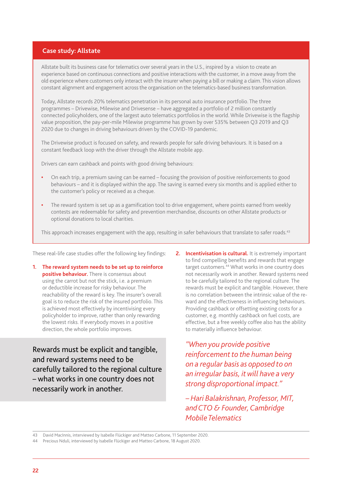### **Case study: Allstate**

Allstate built its business case for telematics over several years in the U.S., inspired by a vision to create an experience based on continuous connections and positive interactions with the customer, in a move away from the old experience where customers only interact with the insurer when paying a bill or making a claim. This vision allows constant alignment and engagement across the organisation on the telematics-based business transformation.

Today, Allstate records 20% telematics penetration in its personal auto insurance portfolio. The three programmes – Drivewise, Milewise and Drivesense – have aggregated a portfolio of 2 million constantly connected policyholders, one of the largest auto telematics portfolios in the world. While Drivewise is the flagship value proposition, the pay-per-mile Milewise programme has grown by over 535% between Q3 2019 and Q3 2020 due to changes in driving behaviours driven by the COVID-19 pandemic.

The Drivewise product is focused on safety, and rewards people for safe driving behaviours. It is based on a constant feedback loop with the driver through the Allstate mobile app.

Drivers can earn cashback and points with good driving behaviours:

- **•** On each trip, a premium saving can be earned focusing the provision of positive reinforcements to good behaviours – and it is displayed within the app. The saving is earned every six months and is applied either to the customer's policy or received as a cheque.
- **•** The reward system is set up as a gamification tool to drive engagement, where points earned from weekly contests are redeemable for safety and prevention merchandise, discounts on other Allstate products or optional donations to local charities.

This approach increases engagement with the app, resulting in safer behaviours that translate to safer roads.<sup>43</sup>

These real-life case studies offer the following key findings:

**1. The reward system needs to be set up to reinforce positive behaviour.** There is consensus about using the carrot but not the stick, i.e. a premium or deductible increase for risky behaviour. The reachability of the reward is key. The insurer's overall goal is to reduce the risk of the insured portfolio. This is achieved most effectively by incentivising every policyholder to improve, rather than only rewarding the lowest risks. If everybody moves in a positive direction, the whole portfolio improves.

Rewards must be explicit and tangible, and reward systems need to be carefully tailored to the regional culture – what works in one country does not necessarily work in another.

**2. Incentivisation is cultural.** It is extremely important to find compelling benefits and rewards that engage target customers.44 What works in one country does not necessarily work in another. Reward systems need to be carefully tailored to the regional culture. The rewards must be explicit and tangible. However, there is no correlation between the intrinsic value of the reward and the effectiveness in influencing behaviours. Providing cashback or offsetting existing costs for a customer, e.g. monthly cashback on fuel costs, are effective, but a free weekly coffee also has the ability to materially influence behaviour.

*"When you provide positive reinforcement to the human being on a regular basis as opposed to on an irregular basis, it will have a very strong disproportional impact."*

*– Hari Balakrishnan, Professor, MIT, and CTO & Founder, Cambridge Mobile Telematics*

<sup>43</sup> David MacInnis, interviewed by Isabelle Flückiger and Matteo Carbone, 11 September 2020.

<sup>44</sup> Precious Nduli, interviewed by Isabelle Flückiger and Matteo Carbone, 18 August 2020.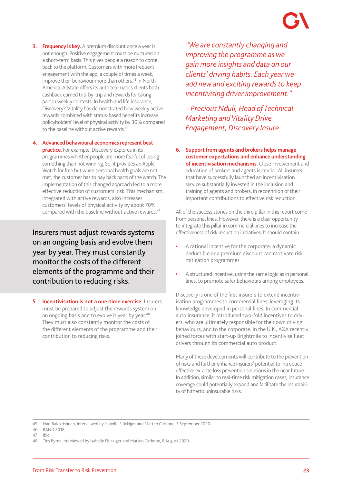- **3. Frequency is key.** A premium discount once a year is not enough. Positive engagement must be nurtured on a short-term basis. This gives people a reason to come back to the platform. Customers with more frequent engagement with the app, a couple of times a week, improve their behaviour more than others.<sup>45</sup> In North America, Allstate offers its auto telematics clients both cashback earned trip-by-trip and rewards for taking part in weekly contests. In health and life insurance, Discovery's Vitality has demonstrated how weekly active rewards combined with status-based benefits increase policyholders' level of physical activity by 30% compared to the baseline without active rewards.<sup>46</sup>
- **4. Advanced behavioural economics represent best practice.** For example, Discovery explores in its programmes whether people are more fearful of losing something than not winning. So, it provides an Apple Watch for free but when personal health goals are not met, the customer has to pay back parts of the watch. The implementation of this changed approach led to a more effective reduction of customers' risk. This mechanism, integrated with active rewards, also increases customers' levels of physical activity by about 70% compared with the baseline without active rewards.<sup>47</sup>

Insurers must adjust rewards systems on an ongoing basis and evolve them year by year. They must constantly monitor the costs of the different elements of the programme and their contribution to reducing risks.

**5. Incentivisation is not a one-time exercise.** Insurers must be prepared to adjust the rewards system on an ongoing basis and to evolve it year by year.<sup>48</sup> They must also constantly monitor the costs of the different elements of the programme and their contribution to reducing risks.

*"We are constantly changing and improving the programme as we gain more insights and data on our clients' driving habits. Each year we add new and exciting rewards to keep incentivising driver improvement."*

*– Precious Nduli, Head of Technical Marketing and Vitality Drive Engagement, Discovery Insure*

**6. Support from agents and brokers helps manage customer expectations and enhance understanding of incentivisation mechanisms.** Close involvement and education of brokers and agents is crucial. All insurers that have successfully launched an incentivisation service substantially invested in the inclusion and training of agents and brokers, in recognition of their important contributions to effective risk reduction.

All of the success stories on the third pillar in this report come from personal lines. However, there is a clear opportunity to integrate this pillar in commercial lines to increase the effectiveness of risk reduction initiatives. It should contain:

- **•** A rational incentive for the corporate: a dynamic deductible or a premium discount can motivate risk mitigation programmes
- **•** A structured incentive, using the same logic as in personal lines, to promote safer behaviours among employees.

Discovery is one of the first insurers to extend incentivisation programmes to commercial lines, leveraging its knowledge developed in personal lines. In commercial auto insurance, it introduced two-fold incentives to drivers, who are ultimately responsible for their own driving behaviours, and to the corporate. In the U.K., AXA recently joined forces with start-up Brightmile to incentivise fleet drivers through its commercial auto product.

Many of these developments will contribute to the prevention of risks and further enhance insurers' potential to introduce effective ex-ante loss prevention solutions in the near future. In addition, similar to real-time risk mitigation cases, insurance coverage could potentially expand and facilitate the insurability of hitherto uninsurable risks.

45 Hari Balakrishnan, interviewed by Isabelle Flückiger and Matteo Carbone, 7 September 2020.

<sup>46</sup> RAND 2018.

<sup>47</sup> Ibid

<sup>48</sup> Tim Byrne interviewed by Isabelle Flückiger and Matteo Carbone, 8 August 2020.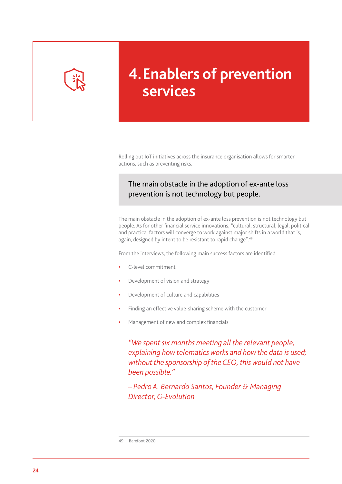

# **4.Enablers of prevention services**

Rolling out IoT initiatives across the insurance organisation allows for smarter actions, such as preventing risks.

# The main obstacle in the adoption of ex-ante loss prevention is not technology but people.

The main obstacle in the adoption of ex-ante loss prevention is not technology but people. As for other financial service innovations, "cultural, structural, legal, political and practical factors will converge to work against major shifts in a world that is, again, designed by intent to be resistant to rapid change".<sup>49</sup>

From the interviews, the following main success factors are identified:

- **•** C-level commitment
- **•** Development of vision and strategy
- **•** Development of culture and capabilities
- **•** Finding an effective value-sharing scheme with the customer
- **•** Management of new and complex financials

*"We spent six months meeting all the relevant people, explaining how telematics works and how the data is used; without the sponsorship of the CEO, this would not have been possible."* 

*– Pedro A. Bernardo Santos, Founder & Managing Director, G-Evolution*

<sup>49</sup> Barefoot 2020.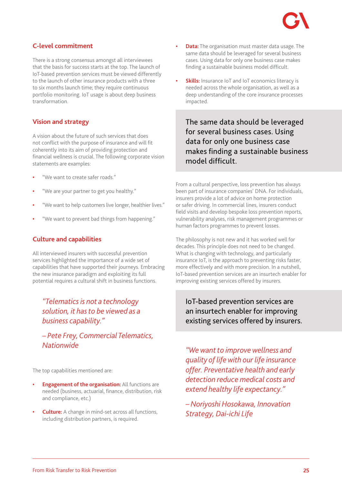

### **C-level commitment**

There is a strong consensus amongst all interviewees that the basis for success starts at the top. The launch of IoT-based prevention services must be viewed differently to the launch of other insurance products with a three to six months launch time; they require continuous portfolio monitoring. IoT usage is about deep business transformation.

#### **Vision and strategy**

A vision about the future of such services that does not conflict with the purpose of insurance and will fit coherently into its aim of providing protection and financial wellness is crucial. The following corporate vision statements are examples:

- **•** "We want to create safer roads."
- **•** "We are your partner to get you healthy."
- **•** "We want to help customers live longer, healthier lives."
- **•** "We want to prevent bad things from happening."

### **Culture and capabilities**

All interviewed insurers with successful prevention services highlighted the importance of a wide set of capabilities that have supported their journeys. Embracing the new insurance paradigm and exploiting its full potential requires a cultural shift in business functions.

# *"Telematics is not a technology solution, it has to be viewed as a business capability."*

*– Pete Frey, Commercial Telematics, Nationwide*

The top capabilities mentioned are:

- **Engagement of the organisation:** All functions are needed (business, actuarial, finance, distribution, risk and compliance, etc.)
- **• Culture:** A change in mind-set across all functions, including distribution partners, is required.
- **• Data:** The organisation must master data usage. The same data should be leveraged for several business cases. Using data for only one business case makes finding a sustainable business model difficult.
- **• Skills:** Insurance IoT and IoT economics literacy is needed across the whole organisation, as well as a deep understanding of the core insurance processes impacted.

The same data should be leveraged for several business cases. Using data for only one business case makes finding a sustainable business model difficult.

From a cultural perspective, loss prevention has always been part of insurance companies' DNA. For individuals, insurers provide a lot of advice on home protection or safer driving. In commercial lines, insurers conduct field visits and develop bespoke loss prevention reports, vulnerability analyses, risk management programmes or human factors programmes to prevent losses.

The philosophy is not new and it has worked well for decades. This principle does not need to be changed. What is changing with technology, and particularly insurance IoT, is the approach to preventing risks faster, more effectively and with more precision. In a nutshell, IoT-based prevention services are an insurtech enabler for improving existing services offered by insurers.

IoT-based prevention services are an insurtech enabler for improving existing services offered by insurers.

*"We want to improve wellness and quality of life with our life insurance offer. Preventative health and early detection reduce medical costs and extend healthy life expectancy."* 

*– Noriyoshi Hosokawa, Innovation Strategy, Dai-ichi Life*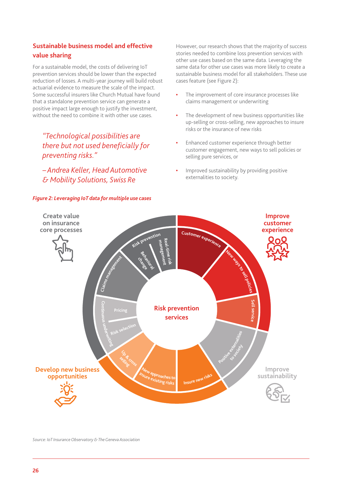# **Sustainable business model and effective value sharing**

For a sustainable model, the costs of delivering IoT prevention services should be lower than the expected reduction of losses. A multi-year journey will build robust actuarial evidence to measure the scale of the impact. Some successful insurers like Church Mutual have found that a standalone prevention service can generate a positive impact large enough to justify the investment, without the need to combine it with other use cases.

*"Technological possibilities are there but not used beneficially for preventing risks."*

*– Andrea Keller, Head Automotive & Mobility Solutions, Swiss Re*

#### *Figure 2: Leveraging IoT data for multiple use cases*

However, our research shows that the majority of success stories needed to combine loss prevention services with other use cases based on the same data. Leveraging the same data for other use cases was more likely to create a sustainable business model for all stakeholders. These use cases feature (see Figure 2):

- **•** The improvement of core insurance processes like claims management or underwriting
- **•** The development of new business opportunities like up-selling or cross-selling, new approaches to insure risks or the insurance of new risks
- **•** Enhanced customer experience through better customer engagement, new ways to sell policies or selling pure services, or
- **•** Improved sustainability by providing positive externalities to society.



*Source: IoT Insurance Observatory & The Geneva Association*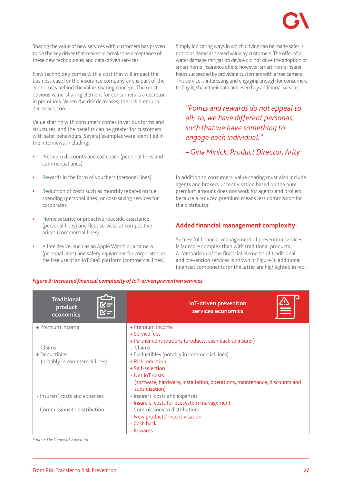

Sharing the value of new services with customers has proven to be the key driver that makes or breaks the acceptance of these new technologies and data-driven services.

New technology comes with a cost that will impact the business case for the insurance company and is part of the economics behind the value-sharing concept. The most obvious value-sharing element for consumers is a decrease in premiums. When the risk decreases, the risk premium decreases, too.

Value sharing with consumers comes in various forms and structures, and the benefits can be greater for customers with safer behaviours. Several examples were identified in the interviews, including:

- **•** Premium discounts and cash back (personal lines and commercial lines)
- **•** Rewards in the form of vouchers (personal lines)
- **•** Reduction of costs such as monthly rebates on fuel spending (personal lines) or cost-saving services for corporates
- **•** Home security or proactive roadside assistance (personal lines) and fleet services at competitive prices (commercial lines)
- **•** A free device, such as an Apple Watch or a camera (personal lines) and safety equipment for corporates, or the free use of an IoT SaaS platform (commercial lines).

Simply indicating ways in which driving can be made safer is not considered as shared value by customers. The offer of a water damage mitigation device did not drive the adoption of smart home insurance offers; however, smart home insurer Neos succeeded by providing customers with a free camera. This service is interesting and engaging enough for consumers to buy it, share their data and even buy additional services.

*"Points and rewards do not appeal to all; so, we have different personas, such that we have something to engage each individual."* 

*– Gina Minick, Product Director, Arity*

In addition to consumers, value sharing must also include agents and brokers. Incentivisation based on the pure premium amount does not work for agents and brokers because a reduced premium means less commission for the distributor.

### **Added financial management complexity**

Successful financial management of prevention services is far more complex than with traditional products. A comparison of the financial elements of traditional and prevention services is shown in Figure 3; additional financial components for the latter are highlighted in red.

#### *Figure 3: Increased financial complexity of IoT-driven prevention services*

| <b>Traditional</b><br>$\leq$ $=$<br>product<br>economics | <b>IoT-driven prevention</b><br>⊜<br>services economics                                     |
|----------------------------------------------------------|---------------------------------------------------------------------------------------------|
| + Premium income                                         | + Premium income                                                                            |
|                                                          | + Service fees                                                                              |
|                                                          | + Partner contributions (products, cash back to insurer)                                    |
| - Claims                                                 | - Claims                                                                                    |
| + Deductibles                                            | + Deductibles (notably in commercial lines)                                                 |
| (notably in commercial lines)                            | + Risk reduction                                                                            |
|                                                          | + Self-selection                                                                            |
|                                                          | - Net IoT costs                                                                             |
|                                                          | (software, hardware, installation, operations, maintenance, discounts and<br>subsidisation) |
| - Insurers' costs and expenses                           | - Insurers' costs and expenses                                                              |
|                                                          | - Insurers' costs for ecosystem management                                                  |
| - Commissions to distribution                            | - Commissions to distribution                                                               |
|                                                          | - New products' incentivisation                                                             |
|                                                          | - Cash back                                                                                 |
|                                                          | - Rewards                                                                                   |

*Source: The Geneva Association*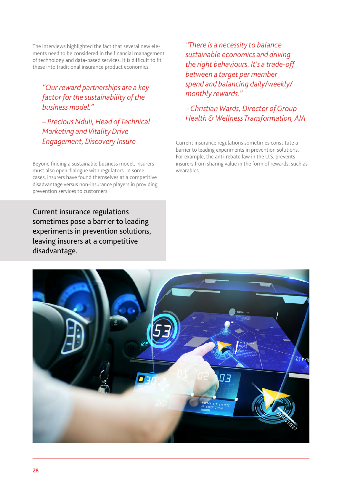The interviews highlighted the fact that several new elements need to be considered in the financial management of technology and data-based services. It is difficult to fit these into traditional insurance product economics.

*"Our reward partnerships are a key factor for the sustainability of the business model."* 

*– Precious Nduli, Head of Technical Marketing and Vitality Drive Engagement, Discovery Insure*

Beyond finding a sustainable business model, insurers must also open dialogue with regulators. In some cases, insurers have found themselves at a competitive disadvantage versus non-insurance players in providing prevention services to customers.

Current insurance regulations sometimes pose a barrier to leading experiments in prevention solutions, leaving insurers at a competitive disadvantage.

*"There is a necessity to balance sustainable economics and driving the right behaviours. It's a trade-off between a target per member spend and balancing daily/weekly/ monthly rewards."* 

*– Christian Wards, Director of Group Health & Wellness Transformation, AIA*

Current insurance regulations sometimes constitute a barrier to leading experiments in prevention solutions. For example, the anti-rebate law in the U.S. prevents insurers from sharing value in the form of rewards, such as wearables.

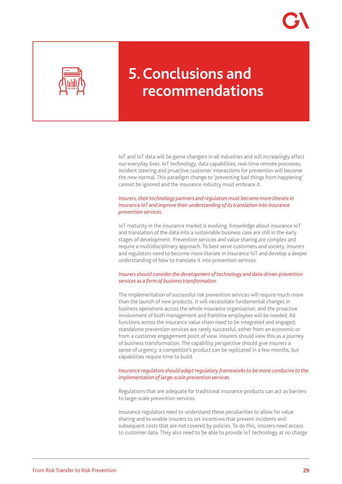

# **5.Conclusions and recommendations**

IoT and IoT data will be game changers in all industries and will increasingly affect our everyday lives. IoT technology, data capabilities, real-time remote processes, incident steering and proactive customer interactions for prevention will become the new normal. This paradigm change to 'preventing bad things from happening' cannot be ignored and the insurance industry must embrace it.

#### *Insurers, their technology partners and regulators must become more literate in Insurance IoT and improve their understanding of its translation into insurance prevention services.*

IoT maturity in the insurance market is evolving. Knowledge about insurance IoT and translation of the data into a sustainable business case are still in the early stages of development. Prevention services and value sharing are complex and require a multidisciplinary approach. To best serve customers and society, insurers and regulators need to become more literate in insurance IoT and develop a deeper understanding of how to translate it into prevention services.

#### *Insurers should consider the development of technology and data-driven prevention services as a form of business transformation.*

The implementation of successful risk prevention services will require much more than the launch of new products. It will necessitate fundamental changes in business operations across the whole insurance organisation, and the proactive involvement of both management and frontline employees will be needed. All functions across the insurance value chain need to be integrated and engaged; standalone prevention services are rarely successful, either from an economic or from a customer engagement point of view. Insurers should view this as a journey of business transformation. The capability perspective should give insurers a sense of urgency; a competitor's product can be replicated in a few months, but capabilities require time to build.

#### *Insurance regulators should adapt regulatory frameworks to be more conducive to the implementation of large-scale prevention services.*

Regulations that are adequate for traditional insurance products can act as barriers to large-scale prevention services.

Insurance regulators need to understand these peculiarities to allow for value sharing and to enable insurers to set incentives that prevent incidents and subsequent costs that are not covered by policies. To do this, insurers need access to customer data. They also need to be able to provide IoT technology at no charge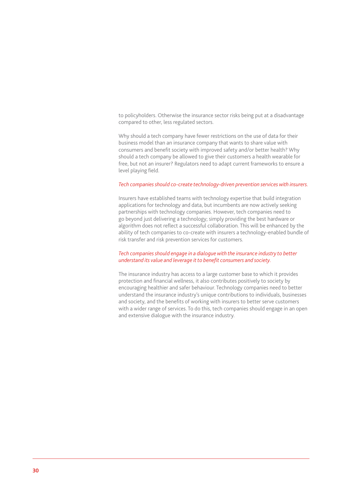to policyholders. Otherwise the insurance sector risks being put at a disadvantage compared to other, less regulated sectors.

Why should a tech company have fewer restrictions on the use of data for their business model than an insurance company that wants to share value with consumers and benefit society with improved safety and/or better health? Why should a tech company be allowed to give their customers a health wearable for free, but not an insurer? Regulators need to adapt current frameworks to ensure a level playing field.

#### *Tech companies should co-create technology-driven prevention services with insurers.*

Insurers have established teams with technology expertise that build integration applications for technology and data, but incumbents are now actively seeking partnerships with technology companies. However, tech companies need to go beyond just delivering a technology; simply providing the best hardware or algorithm does not reflect a successful collaboration. This will be enhanced by the ability of tech companies to co-create with insurers a technology-enabled bundle of risk transfer and risk prevention services for customers.

#### *Tech companies should engage in a dialogue with the insurance industry to better understand its value and leverage it to benefit consumers and society.*

The insurance industry has access to a large customer base to which it provides protection and financial wellness, it also contributes positively to society by encouraging healthier and safer behaviour. Technology companies need to better understand the insurance industry's unique contributions to individuals, businesses and society, and the benefits of working with insurers to better serve customers with a wider range of services. To do this, tech companies should engage in an open and extensive dialogue with the insurance industry.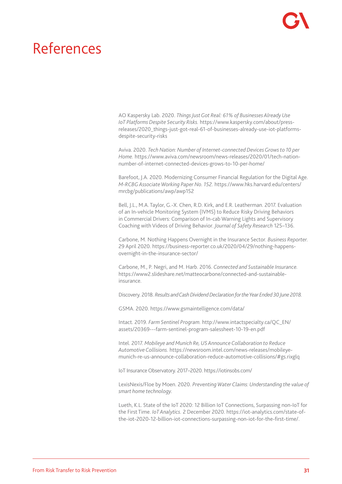# References

AO Kaspersky Lab. 2020. *Things Just Got Real: 61% of Businesses Already Use IoT Platforms Despite Security Risks.* https://www.kaspersky.com/about/pressreleases/2020\_things-just-got-real-61-of-businesses-already-use-iot-platformsdespite-security-risks

Aviva. 2020. *Tech Nation: Number of Internet-connected Devices Grows to 10 per Home.* https://www.aviva.com/newsroom/news-releases/2020/01/tech-nationnumber-of-internet-connected-devices-grows-to-10-per-home/

Barefoot, J.A. 2020. Modernizing Consumer Financial Regulation for the Digital Age. *M-RCBG Associate Working Paper No. 152.* https://www.hks.harvard.edu/centers/ mrcbg/publications/awp/awp152

Bell, J.L., M.A. Taylor, G.-X. Chen, R.D. Kirk, and E.R. Leatherman. 2017. Evaluation of an In-vehicle Monitoring System (IVMS) to Reduce Risky Driving Behaviors in Commercial Drivers: Comparison of In-cab Warning Lights and Supervisory Coaching with Videos of Driving Behavior. *Journal of Safety Research* 125–136.

Carbone, M. Nothing Happens Overnight in the Insurance Sector. *Business Reporter.* 29 April 2020. https://business-reporter.co.uk/2020/04/29/nothing-happensovernight-in-the-insurance-sector/

Carbone, M., P. Negri, and M. Harb. 2016. *Connected and Sustainable Insurance.* https://www2.slideshare.net/matteocarbone/connected-and-sustainableinsurance.

Discovery. 2018. *Results and Cash Dividend Declaration for the Year Ended 30 June 2018.*

GSMA. 2020. https://www.gsmaintelligence.com/data/

Intact. 2019. *Farm Sentinel Program.* http://www.intactspecialty.ca/QC\_EN/ assets/20369---farm-sentinel-program-salessheet-10-19-en.pdf

Intel. 2017. *Mobileye and Munich Re, US Announce Collaboration to Reduce Automotive Collisions.* https://newsroom.intel.com/news-releases/mobileyemunich-re-us-announce-collaboration-reduce-automotive-collisions/#gs.rixglq

IoT Insurance Observatory. 2017–2020. https://iotinsobs.com/

LexisNexis/Floe by Moen. 2020. *Preventing Water Claims: Understanding the value of smart home technology.*

Lueth, K.L. State of the IoT 2020: 12 Billion IoT Connections, Surpassing non-IoT for the First Time. *IoT Analytics.* 2 December 2020. https://iot-analytics.com/state-ofthe-iot-2020-12-billion-iot-connections-surpassing-non-iot-for-the-first-time/.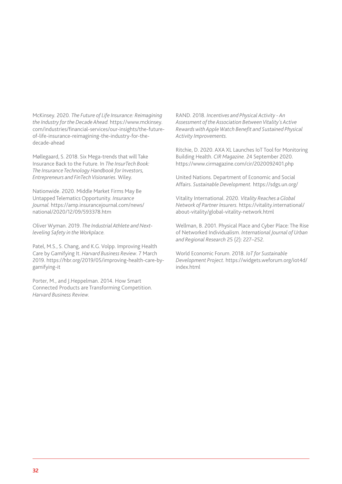McKinsey. 2020. *The Future of Life Insurance: Reimagining the Industry for the Decade Ahead.* https://www.mckinsey. com/industries/financial-services/our-insights/the-futureof-life-insurance-reimagining-the-industry-for-thedecade-ahead

Møllegaard, S. 2018. Six Mega-trends that will Take Insurance Back to the Future. In *The InsurTech Book: The Insurance Technology Handbook for Investors, Entrepreneurs and FinTech Visionaries.* Wiley.

Nationwide. 2020. Middle Market Firms May Be Untapped Telematics Opportunity. *Insurance Journal.* https://amp.insurancejournal.com/news/ national/2020/12/09/593378.htm

Oliver Wyman. 2019. *The Industrial Athlete and Nextleveling Safety in the Workplace.*

Patel, M.S., S. Chang, and K.G. Volpp. Improving Health Care by Gamifying It. *Harvard Business Review*. 7 March 2019. https://hbr.org/2019/05/improving-health-care-bygamifying-it

Porter, M., and J.Heppelman. 2014. How Smart Connected Products are Transforming Competition. *Harvard Business Review.* 

RAND. 2018. *Incentives and Physical Activity - An Assessment of the Association Between Vitality's Active Rewards with Apple Watch Benefit and Sustained Physical Activity Improvements.*

Ritchie, D. 2020. AXA XL Launches IoT Tool for Monitoring Building Health. *CIR Magazine.* 24 September 2020. https://www.cirmagazine.com/cir/2020092401.php

United Nations. Department of Economic and Social Affairs. *Sustainable Development.* https://sdgs.un.org/

Vitality International. 2020. *Vitality Reaches a Global Network of Partner Insurers.* https://vitality.international/ about-vitality/global-vitality-network.html

Wellman, B. 2001. Physical Place and Cyber Place: The Rise of Networked Individualism. *International Journal of Urban and Regional Research* 25 (2): 227–252.

World Economic Forum. 2018. *IoT for Sustainable Development Project.* https://widgets.weforum.org/iot4d/ index.html